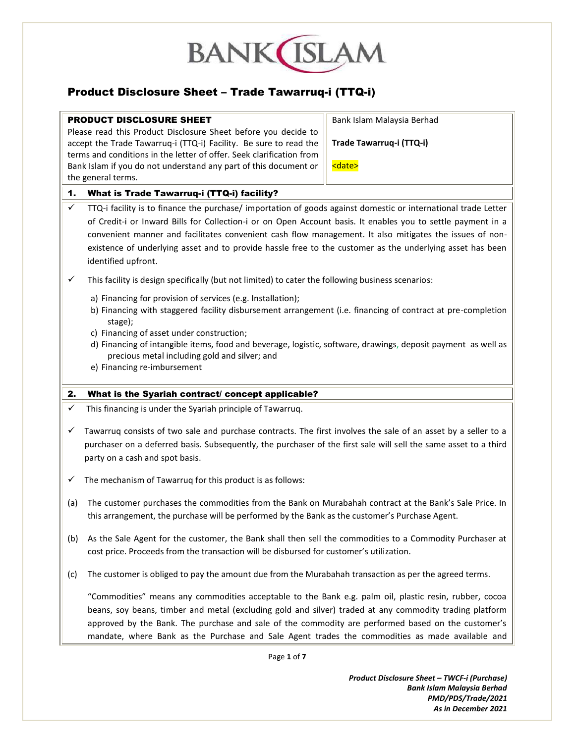

# Product Disclosure Sheet – Trade Tawarruq-i (TTQ-i)

#### PRODUCT DISCLOSURE SHEET

Please read this Product Disclosure Sheet before you decide to accept the Trade Tawarruq-i (TTQ-i) Facility. Be sure to read the terms and conditions in the letter of offer. Seek clarification from Bank Islam if you do not understand any part of this document or the general terms.

Bank Islam Malaysia Berhad

**Trade Tawarruq-i (TTQ-i)**

<date>

### 1. What is Trade Tawarruq-i (TTQ-i) facility?

- $\checkmark$  TTQ-i facility is to finance the purchase/ importation of goods against domestic or international trade Letter of Credit-i or Inward Bills for Collection-i or on Open Account basis. It enables you to settle payment in a convenient manner and facilitates convenient cash flow management. It also mitigates the issues of nonexistence of underlying asset and to provide hassle free to the customer as the underlying asset has been identified upfront.
- $\checkmark$  This facility is design specifically (but not limited) to cater the following business scenarios:
	- a) Financing for provision of services (e.g. Installation);
	- b) Financing with staggered facility disbursement arrangement (i.e. financing of contract at pre-completion stage);
	- c) Financing of asset under construction;
	- d) Financing of intangible items, food and beverage, logistic, software, drawings, deposit payment as well as precious metal including gold and silver; and
	- e) Financing re-imbursement

#### 2. What is the Syariah contract/ concept applicable?

- $\checkmark$  This financing is under the Syariah principle of Tawarrug.
- $\checkmark$  Tawarruq consists of two sale and purchase contracts. The first involves the sale of an asset by a seller to a purchaser on a deferred basis. Subsequently, the purchaser of the first sale will sell the same asset to a third party on a cash and spot basis.
- $\checkmark$  The mechanism of Tawarruq for this product is as follows:
- (a) The customer purchases the commodities from the Bank on Murabahah contract at the Bank's Sale Price. In this arrangement, the purchase will be performed by the Bank as the customer's Purchase Agent.
- (b) As the Sale Agent for the customer, the Bank shall then sell the commodities to a Commodity Purchaser at cost price. Proceeds from the transaction will be disbursed for customer's utilization.
- (c) The customer is obliged to pay the amount due from the Murabahah transaction as per the agreed terms.

"Commodities" means any commodities acceptable to the Bank e.g. palm oil, plastic resin, rubber, cocoa beans, soy beans, timber and metal (excluding gold and silver) traded at any commodity trading platform approved by the Bank. The purchase and sale of the commodity are performed based on the customer's mandate, where Bank as the Purchase and Sale Agent trades the commodities as made available and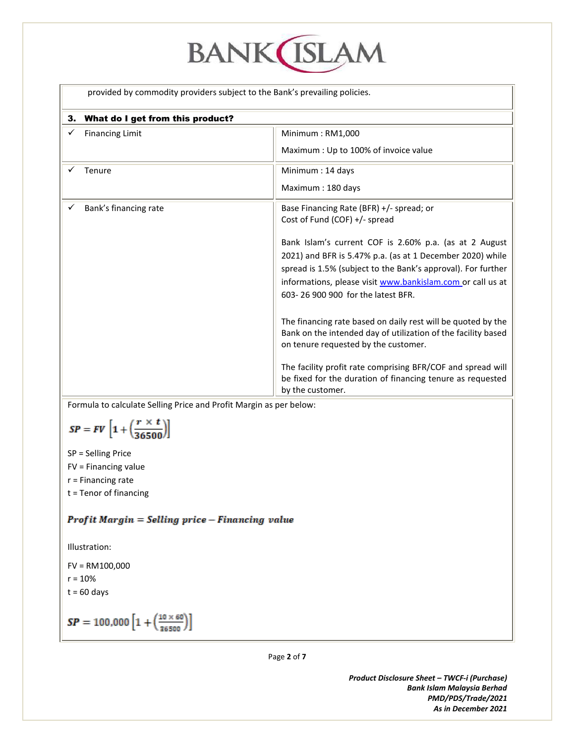# **BANK**(ISLAM

provided by commodity providers subject to the Bank's prevailing policies.

| 3. What do I get from this product? |                                                                                                                                                                                                                                                                                                                                                                                                                                                                                                                                               |
|-------------------------------------|-----------------------------------------------------------------------------------------------------------------------------------------------------------------------------------------------------------------------------------------------------------------------------------------------------------------------------------------------------------------------------------------------------------------------------------------------------------------------------------------------------------------------------------------------|
| <b>Financing Limit</b>              | Minimum: RM1,000<br>Maximum : Up to 100% of invoice value                                                                                                                                                                                                                                                                                                                                                                                                                                                                                     |
| Tenure                              | Minimum: 14 days<br>Maximum: 180 days                                                                                                                                                                                                                                                                                                                                                                                                                                                                                                         |
| Bank's financing rate               | Base Financing Rate (BFR) +/- spread; or<br>Cost of Fund (COF) +/- spread<br>Bank Islam's current COF is 2.60% p.a. (as at 2 August<br>2021) and BFR is 5.47% p.a. (as at 1 December 2020) while<br>spread is 1.5% (subject to the Bank's approval). For further<br>informations, please visit www.bankislam.com or call us at<br>603-26 900 900 for the latest BFR.<br>The financing rate based on daily rest will be quoted by the<br>Bank on the intended day of utilization of the facility based<br>on tenure requested by the customer. |
|                                     | The facility profit rate comprising BFR/COF and spread will<br>be fixed for the duration of financing tenure as requested<br>by the customer.                                                                                                                                                                                                                                                                                                                                                                                                 |

Formula to calculate Selling Price and Profit Margin as per below:

$$
SP = FV\left[1 + \left(\frac{r \times t}{36500}\right)\right]
$$

SP = Selling Price

FV = Financing value

r = Financing rate

t = Tenor of financing

## Profit Margin = Selling price - Financing value

Illustration:

FV = RM100,000  $r = 10%$  $t = 60$  days

$$
SP = 100,000 \left[ 1 + \left( \frac{10 \times 60}{36500} \right) \right]
$$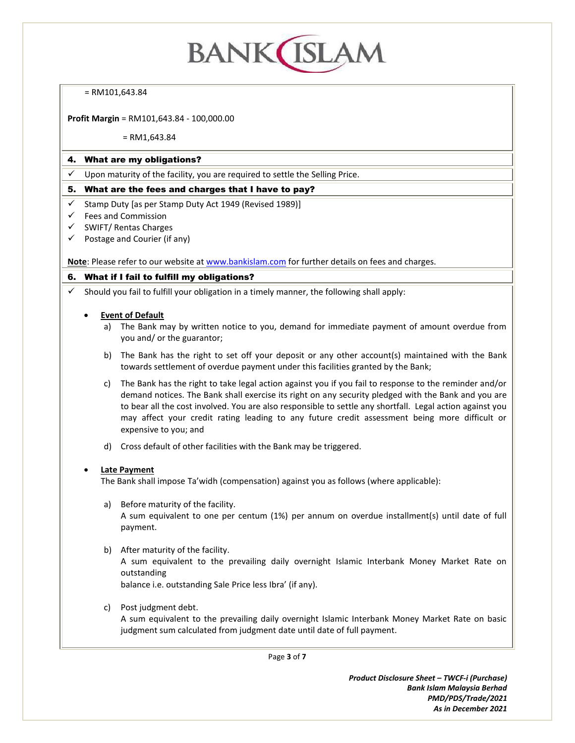# **BANK ISLAM**

#### = RM101,643.84

**Profit Margin** = RM101,643.84 - 100,000.00

#### = RM1,643.84

#### 4. What are my obligations?

Upon maturity of the facility, you are required to settle the Selling Price.

#### 5. What are the fees and charges that I have to pay?

- $\checkmark$  Stamp Duty [as per Stamp Duty Act 1949 (Revised 1989)]
- $\checkmark$  Fees and Commission
- $\checkmark$  SWIFT/ Rentas Charges
- $\checkmark$  Postage and Courier (if any)

**Note**: Please refer to our website a[t www.bankislam.com](http://www.bankislam.com/) for further details on fees and charges.

#### 6. What if I fail to fulfill my obligations?

 $\checkmark$  Should you fail to fulfill your obligation in a timely manner, the following shall apply:

#### **Event of Default**

- a) The Bank may by written notice to you, demand for immediate payment of amount overdue from you and/ or the guarantor;
- b) The Bank has the right to set off your deposit or any other account(s) maintained with the Bank towards settlement of overdue payment under this facilities granted by the Bank;
- c) The Bank has the right to take legal action against you if you fail to response to the reminder and/or demand notices. The Bank shall exercise its right on any security pledged with the Bank and you are to bear all the cost involved. You are also responsible to settle any shortfall. Legal action against you may affect your credit rating leading to any future credit assessment being more difficult or expensive to you; and
- d) Cross default of other facilities with the Bank may be triggered.

#### **Late Payment**

The Bank shall impose Ta'widh (compensation) against you as follows (where applicable):

- a) Before maturity of the facility. A sum equivalent to one per centum (1%) per annum on overdue installment(s) until date of full payment.
- b) After maturity of the facility.

A sum equivalent to the prevailing daily overnight Islamic Interbank Money Market Rate on outstanding

balance i.e. outstanding Sale Price less Ibra' (if any).

c) Post judgment debt.

A sum equivalent to the prevailing daily overnight Islamic Interbank Money Market Rate on basic judgment sum calculated from judgment date until date of full payment.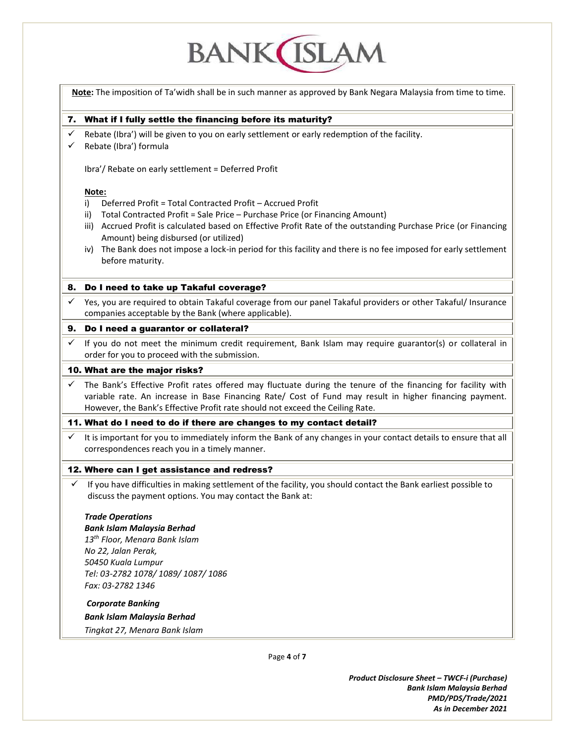# **BANK ISLAM**

Page **4** of **7 Note:** The imposition of Ta'widh shall be in such manner as approved by Bank Negara Malaysia from time to time. 7. What if I fully settle the financing before its maturity?  $\checkmark$  Rebate (Ibra') will be given to you on early settlement or early redemption of the facility.  $\checkmark$  Rebate (Ibra') formula Ibra'/ Rebate on early settlement = Deferred Profit **Note:** i) Deferred Profit = Total Contracted Profit – Accrued Profit ii) Total Contracted Profit = Sale Price – Purchase Price (or Financing Amount) iii) Accrued Profit is calculated based on Effective Profit Rate of the outstanding Purchase Price (or Financing Amount) being disbursed (or utilized) iv) The Bank does not impose a lock-in period for this facility and there is no fee imposed for early settlement before maturity. 8. Do I need to take up Takaful coverage?  $\checkmark$  Yes, you are required to obtain Takaful coverage from our panel Takaful providers or other Takaful/ Insurance companies acceptable by the Bank (where applicable). 9. Do I need a guarantor or collateral?  $\checkmark$  If you do not meet the minimum credit requirement, Bank Islam may require guarantor(s) or collateral in order for you to proceed with the submission. 10. What are the major risks? The Bank's Effective Profit rates offered may fluctuate during the tenure of the financing for facility with variable rate. An increase in Base Financing Rate/ Cost of Fund may result in higher financing payment. However, the Bank's Effective Profit rate should not exceed the Ceiling Rate. 11. What do I need to do if there are changes to my contact detail? It is important for you to immediately inform the Bank of any changes in your contact details to ensure that all correspondences reach you in a timely manner. 12. Where can I get assistance and redress?  $\checkmark$  If you have difficulties in making settlement of the facility, you should contact the Bank earliest possible to discuss the payment options. You may contact the Bank at: *Trade Operations Bank Islam Malaysia Berhad 13th Floor, Menara Bank Islam No 22, Jalan Perak, 50450 Kuala Lumpur Tel: 03-2782 1078/ 1089/ 1087/ 1086 Fax: 03-2782 1346 Corporate Banking Bank Islam Malaysia Berhad Tingkat 27, Menara Bank Islam*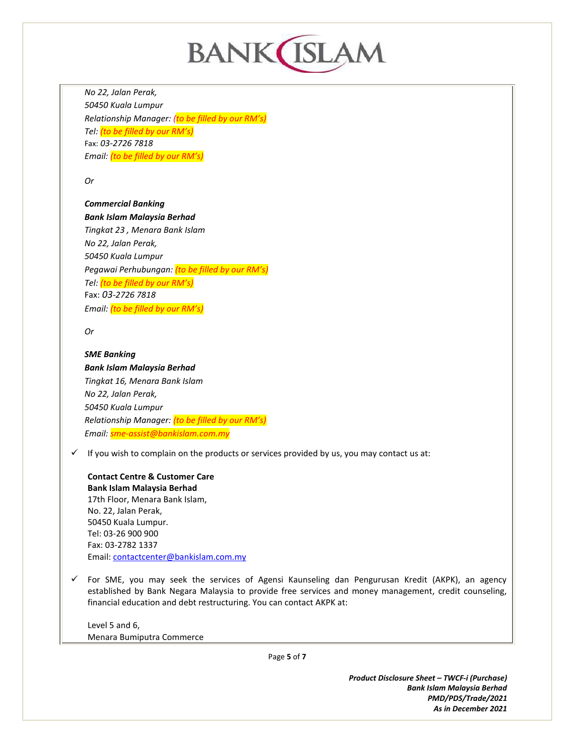

*No 22, Jalan Perak, 50450 Kuala Lumpur Relationship Manager: (to be filled by our RM's) Tel: (to be filled by our RM's)* Fax: *03-2726 7818 Email: (to be filled by our RM's)*

*Or*

#### *Commercial Banking*

*Bank Islam Malaysia Berhad Tingkat 23 , Menara Bank Islam No 22, Jalan Perak, 50450 Kuala Lumpur Pegawai Perhubungan: (to be filled by our RM's) Tel: (to be filled by our RM's)* Fax: *03-2726 7818 Email: (to be filled by our RM's)*

*Or*

### *SME Banking Bank Islam Malaysia Berhad Tingkat 16, Menara Bank Islam No 22, Jalan Perak, 50450 Kuala Lumpur Relationship Manager: (to be filled by our RM's) Email: sme-assist@bankislam.com.my*

 $\checkmark$  If you wish to complain on the products or services provided by us, you may contact us at:

**Contact Centre & Customer Care Bank Islam Malaysia Berhad** 17th Floor, Menara Bank Islam, No. 22, Jalan Perak, 50450 Kuala Lumpur. Tel: 03-26 900 900 Fax: 03-2782 1337 Email[: contactcenter@bankislam.com.my](mailto:contactcenter@bankislam.com.my)

 $\checkmark$  For SME, you may seek the services of Agensi Kaunseling dan Pengurusan Kredit (AKPK), an agency established by Bank Negara Malaysia to provide free services and money management, credit counseling, financial education and debt restructuring. You can contact AKPK at:

Level 5 and 6, Menara Bumiputra Commerce

Page **5** of **7**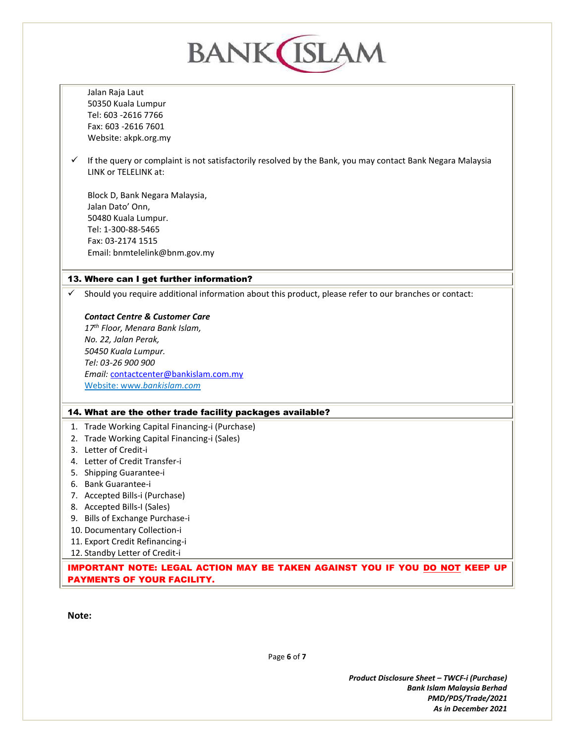| <b>BANK ISLA</b> |                                                                                                                                            |  |
|------------------|--------------------------------------------------------------------------------------------------------------------------------------------|--|
|                  | Jalan Raja Laut                                                                                                                            |  |
|                  | 50350 Kuala Lumpur                                                                                                                         |  |
|                  | Tel: 603 - 2616 7766                                                                                                                       |  |
|                  | Fax: 603 -2616 7601                                                                                                                        |  |
|                  | Website: akpk.org.my                                                                                                                       |  |
| ✓                | If the query or complaint is not satisfactorily resolved by the Bank, you may contact Bank Negara Malaysia<br><b>IINK or TFI FLINK at:</b> |  |
|                  | Block D, Bank Negara Malaysia,                                                                                                             |  |
|                  | Jalan Dato' Onn,                                                                                                                           |  |
|                  | 50480 Kuala Lumpur.                                                                                                                        |  |
|                  | Tel: 1-300-88-5465                                                                                                                         |  |
|                  | Fax: 03-2174 1515                                                                                                                          |  |
|                  | Email: bnmtelelink@bnm.gov.my                                                                                                              |  |
|                  | 13. Where can I get further information?                                                                                                   |  |
|                  | Should you require additional information about this product, please refer to our branches or contact:                                     |  |
|                  |                                                                                                                                            |  |
|                  | <b>Contact Centre &amp; Customer Care</b>                                                                                                  |  |
|                  | 17 <sup>th</sup> Floor, Menara Bank Islam,                                                                                                 |  |
|                  | No. 22, Jalan Perak,                                                                                                                       |  |
|                  | 50450 Kuala Lumpur.                                                                                                                        |  |
|                  | Tel: 03-26 900 900                                                                                                                         |  |
|                  | Email: contactcenter@bankislam.com.my                                                                                                      |  |
|                  | Website: www.bankislam.com                                                                                                                 |  |
|                  | 14. What are the other trade facility packages available?                                                                                  |  |
|                  | 1. Trade Working Capital Financing-i (Purchase)                                                                                            |  |
| 2.               | Trade Working Capital Financing-i (Sales)                                                                                                  |  |
|                  | 3. Letter of Credit-i                                                                                                                      |  |
| 4.               | Letter of Credit Transfer-i                                                                                                                |  |
| 5.               | Shipping Guarantee-i                                                                                                                       |  |
| 6.               | Bank Guarantee-i                                                                                                                           |  |
| 7.               | Accepted Bills-i (Purchase)                                                                                                                |  |
|                  | 8. Accepted Bills-I (Sales)                                                                                                                |  |
| 9.               | Bills of Exchange Purchase-i                                                                                                               |  |
|                  | 10. Documentary Collection-i                                                                                                               |  |
|                  | 11. Export Credit Refinancing-i<br>12. Standby Letter of Credit-i                                                                          |  |
|                  |                                                                                                                                            |  |

IMPORTANT NOTE: LEGAL ACTION MAY BE TAKEN AGAINST YOU IF YOU DO NOT KEEP UP PAYMENTS OF YOUR FACILITY.

**Note:**